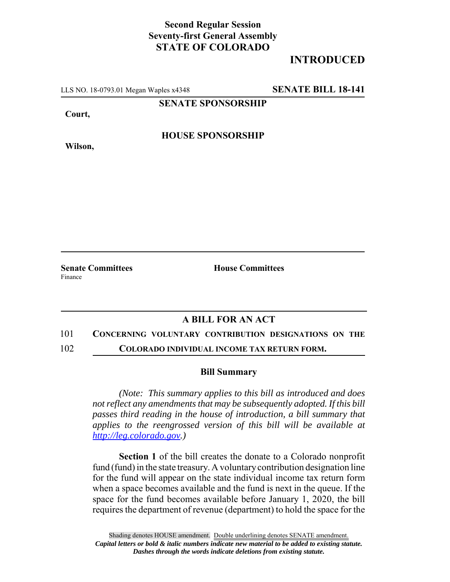## **Second Regular Session Seventy-first General Assembly STATE OF COLORADO**

# **INTRODUCED**

LLS NO. 18-0793.01 Megan Waples x4348 **SENATE BILL 18-141**

**SENATE SPONSORSHIP**

**Court,**

**HOUSE SPONSORSHIP**

**Wilson,**

Finance

**Senate Committees House Committees** 

### **A BILL FOR AN ACT**

#### 101 **CONCERNING VOLUNTARY CONTRIBUTION DESIGNATIONS ON THE**

102 **COLORADO INDIVIDUAL INCOME TAX RETURN FORM.**

#### **Bill Summary**

*(Note: This summary applies to this bill as introduced and does not reflect any amendments that may be subsequently adopted. If this bill passes third reading in the house of introduction, a bill summary that applies to the reengrossed version of this bill will be available at http://leg.colorado.gov.)*

**Section 1** of the bill creates the donate to a Colorado nonprofit fund (fund) in the state treasury. A voluntary contribution designation line for the fund will appear on the state individual income tax return form when a space becomes available and the fund is next in the queue. If the space for the fund becomes available before January 1, 2020, the bill requires the department of revenue (department) to hold the space for the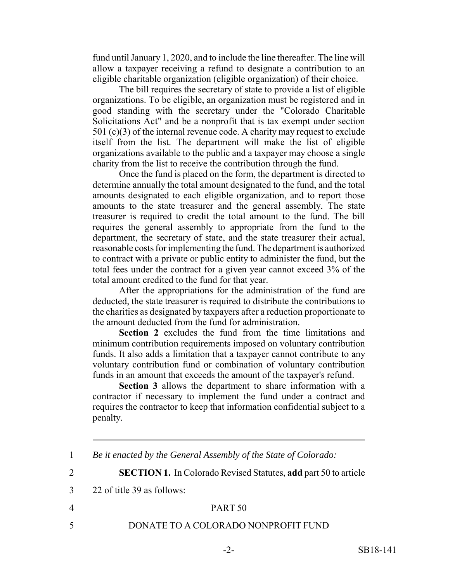fund until January 1, 2020, and to include the line thereafter. The line will allow a taxpayer receiving a refund to designate a contribution to an eligible charitable organization (eligible organization) of their choice.

The bill requires the secretary of state to provide a list of eligible organizations. To be eligible, an organization must be registered and in good standing with the secretary under the "Colorado Charitable Solicitations Act" and be a nonprofit that is tax exempt under section 501 (c)(3) of the internal revenue code. A charity may request to exclude itself from the list. The department will make the list of eligible organizations available to the public and a taxpayer may choose a single charity from the list to receive the contribution through the fund.

Once the fund is placed on the form, the department is directed to determine annually the total amount designated to the fund, and the total amounts designated to each eligible organization, and to report those amounts to the state treasurer and the general assembly. The state treasurer is required to credit the total amount to the fund. The bill requires the general assembly to appropriate from the fund to the department, the secretary of state, and the state treasurer their actual, reasonable costs for implementing the fund. The department is authorized to contract with a private or public entity to administer the fund, but the total fees under the contract for a given year cannot exceed 3% of the total amount credited to the fund for that year.

After the appropriations for the administration of the fund are deducted, the state treasurer is required to distribute the contributions to the charities as designated by taxpayers after a reduction proportionate to the amount deducted from the fund for administration.

**Section 2** excludes the fund from the time limitations and minimum contribution requirements imposed on voluntary contribution funds. It also adds a limitation that a taxpayer cannot contribute to any voluntary contribution fund or combination of voluntary contribution funds in an amount that exceeds the amount of the taxpayer's refund.

**Section 3** allows the department to share information with a contractor if necessary to implement the fund under a contract and requires the contractor to keep that information confidential subject to a penalty.

3 22 of title 39 as follows:

### 4 PART 50

5 DONATE TO A COLORADO NONPROFIT FUND

<sup>1</sup> *Be it enacted by the General Assembly of the State of Colorado:*

<sup>2</sup> **SECTION 1.** In Colorado Revised Statutes, **add** part 50 to article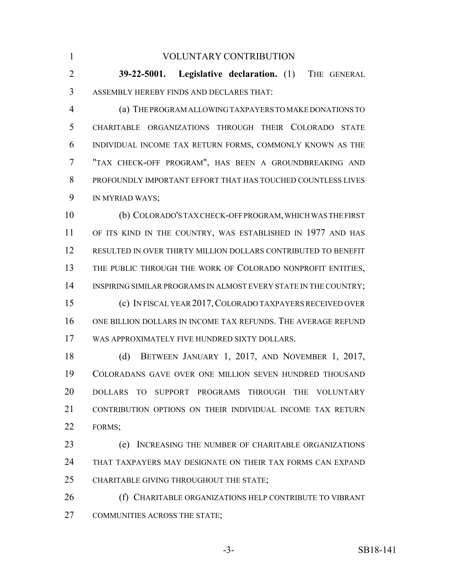VOLUNTARY CONTRIBUTION **39-22-5001. Legislative declaration.** (1) THE GENERAL ASSEMBLY HEREBY FINDS AND DECLARES THAT: (a) THE PROGRAM ALLOWING TAXPAYERS TO MAKE DONATIONS TO CHARITABLE ORGANIZATIONS THROUGH THEIR COLORADO STATE INDIVIDUAL INCOME TAX RETURN FORMS, COMMONLY KNOWN AS THE "TAX CHECK-OFF PROGRAM", HAS BEEN A GROUNDBREAKING AND PROFOUNDLY IMPORTANT EFFORT THAT HAS TOUCHED COUNTLESS LIVES IN MYRIAD WAYS; (b) COLORADO'S TAX CHECK-OFF PROGRAM, WHICH WAS THE FIRST 11 OF ITS KIND IN THE COUNTRY, WAS ESTABLISHED IN 1977 AND HAS RESULTED IN OVER THIRTY MILLION DOLLARS CONTRIBUTED TO BENEFIT 13 THE PUBLIC THROUGH THE WORK OF COLORADO NONPROFIT ENTITIES, 14 INSPIRING SIMILAR PROGRAMS IN ALMOST EVERY STATE IN THE COUNTRY; (c) IN FISCAL YEAR 2017,COLORADO TAXPAYERS RECEIVED OVER ONE BILLION DOLLARS IN INCOME TAX REFUNDS. THE AVERAGE REFUND WAS APPROXIMATELY FIVE HUNDRED SIXTY DOLLARS. (d) BETWEEN JANUARY 1, 2017, AND NOVEMBER 1, 2017, COLORADANS GAVE OVER ONE MILLION SEVEN HUNDRED THOUSAND DOLLARS TO SUPPORT PROGRAMS THROUGH THE VOLUNTARY 21 CONTRIBUTION OPTIONS ON THEIR INDIVIDUAL INCOME TAX RETURN FORMS; (e) INCREASING THE NUMBER OF CHARITABLE ORGANIZATIONS THAT TAXPAYERS MAY DESIGNATE ON THEIR TAX FORMS CAN EXPAND CHARITABLE GIVING THROUGHOUT THE STATE; **(f)** CHARITABLE ORGANIZATIONS HELP CONTRIBUTE TO VIBRANT COMMUNITIES ACROSS THE STATE;

-3- SB18-141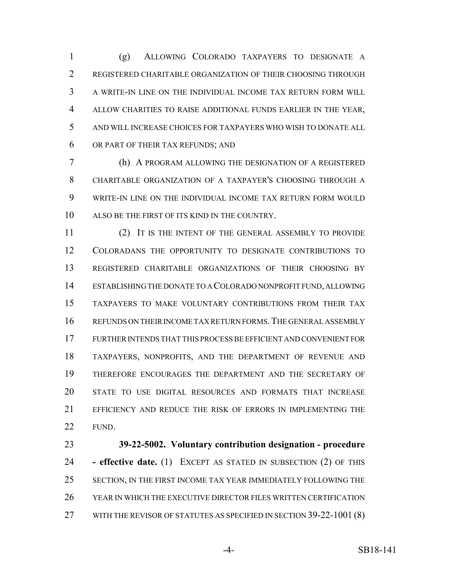(g) ALLOWING COLORADO TAXPAYERS TO DESIGNATE A 2 REGISTERED CHARITABLE ORGANIZATION OF THEIR CHOOSING THROUGH A WRITE-IN LINE ON THE INDIVIDUAL INCOME TAX RETURN FORM WILL ALLOW CHARITIES TO RAISE ADDITIONAL FUNDS EARLIER IN THE YEAR, AND WILL INCREASE CHOICES FOR TAXPAYERS WHO WISH TO DONATE ALL OR PART OF THEIR TAX REFUNDS; AND

 (h) A PROGRAM ALLOWING THE DESIGNATION OF A REGISTERED CHARITABLE ORGANIZATION OF A TAXPAYER'S CHOOSING THROUGH A WRITE-IN LINE ON THE INDIVIDUAL INCOME TAX RETURN FORM WOULD ALSO BE THE FIRST OF ITS KIND IN THE COUNTRY.

 (2) IT IS THE INTENT OF THE GENERAL ASSEMBLY TO PROVIDE COLORADANS THE OPPORTUNITY TO DESIGNATE CONTRIBUTIONS TO REGISTERED CHARITABLE ORGANIZATIONS OF THEIR CHOOSING BY ESTABLISHING THE DONATE TO A COLORADO NONPROFIT FUND, ALLOWING TAXPAYERS TO MAKE VOLUNTARY CONTRIBUTIONS FROM THEIR TAX 16 REFUNDS ON THEIR INCOME TAX RETURN FORMS. THE GENERAL ASSEMBLY FURTHER INTENDS THAT THIS PROCESS BE EFFICIENT AND CONVENIENT FOR TAXPAYERS, NONPROFITS, AND THE DEPARTMENT OF REVENUE AND THEREFORE ENCOURAGES THE DEPARTMENT AND THE SECRETARY OF STATE TO USE DIGITAL RESOURCES AND FORMATS THAT INCREASE EFFICIENCY AND REDUCE THE RISK OF ERRORS IN IMPLEMENTING THE FUND.

 **39-22-5002. Voluntary contribution designation - procedure - effective date.** (1) EXCEPT AS STATED IN SUBSECTION (2) OF THIS SECTION, IN THE FIRST INCOME TAX YEAR IMMEDIATELY FOLLOWING THE YEAR IN WHICH THE EXECUTIVE DIRECTOR FILES WRITTEN CERTIFICATION 27 WITH THE REVISOR OF STATUTES AS SPECIFIED IN SECTION 39-22-1001 (8)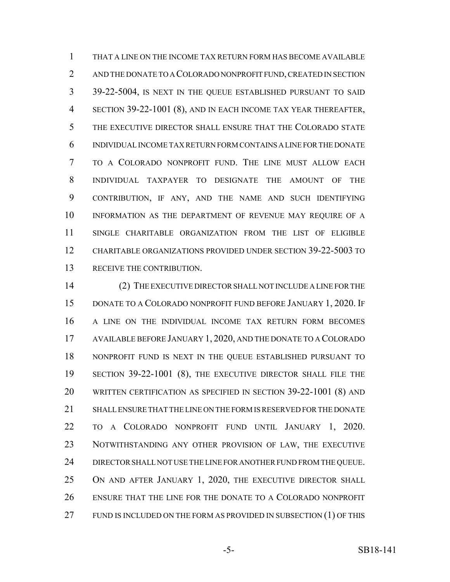THAT A LINE ON THE INCOME TAX RETURN FORM HAS BECOME AVAILABLE AND THE DONATE TO A COLORADO NONPROFIT FUND, CREATED IN SECTION 39-22-5004, IS NEXT IN THE QUEUE ESTABLISHED PURSUANT TO SAID SECTION 39-22-1001 (8), AND IN EACH INCOME TAX YEAR THEREAFTER, THE EXECUTIVE DIRECTOR SHALL ENSURE THAT THE COLORADO STATE INDIVIDUAL INCOME TAX RETURN FORM CONTAINS A LINE FOR THE DONATE TO A COLORADO NONPROFIT FUND. THE LINE MUST ALLOW EACH INDIVIDUAL TAXPAYER TO DESIGNATE THE AMOUNT OF THE CONTRIBUTION, IF ANY, AND THE NAME AND SUCH IDENTIFYING INFORMATION AS THE DEPARTMENT OF REVENUE MAY REQUIRE OF A SINGLE CHARITABLE ORGANIZATION FROM THE LIST OF ELIGIBLE CHARITABLE ORGANIZATIONS PROVIDED UNDER SECTION 39-22-5003 TO RECEIVE THE CONTRIBUTION.

 (2) THE EXECUTIVE DIRECTOR SHALL NOT INCLUDE A LINE FOR THE DONATE TO A COLORADO NONPROFIT FUND BEFORE JANUARY 1, 2020. IF A LINE ON THE INDIVIDUAL INCOME TAX RETURN FORM BECOMES AVAILABLE BEFORE JANUARY 1, 2020, AND THE DONATE TO A COLORADO NONPROFIT FUND IS NEXT IN THE QUEUE ESTABLISHED PURSUANT TO SECTION 39-22-1001 (8), THE EXECUTIVE DIRECTOR SHALL FILE THE WRITTEN CERTIFICATION AS SPECIFIED IN SECTION 39-22-1001 (8) AND SHALL ENSURE THAT THE LINE ON THE FORM IS RESERVED FOR THE DONATE TO A COLORADO NONPROFIT FUND UNTIL JANUARY 1, 2020. NOTWITHSTANDING ANY OTHER PROVISION OF LAW, THE EXECUTIVE 24 DIRECTOR SHALL NOT USE THE LINE FOR ANOTHER FUND FROM THE QUEUE. 25 ON AND AFTER JANUARY 1, 2020, THE EXECUTIVE DIRECTOR SHALL ENSURE THAT THE LINE FOR THE DONATE TO A COLORADO NONPROFIT 27 FUND IS INCLUDED ON THE FORM AS PROVIDED IN SUBSECTION (1) OF THIS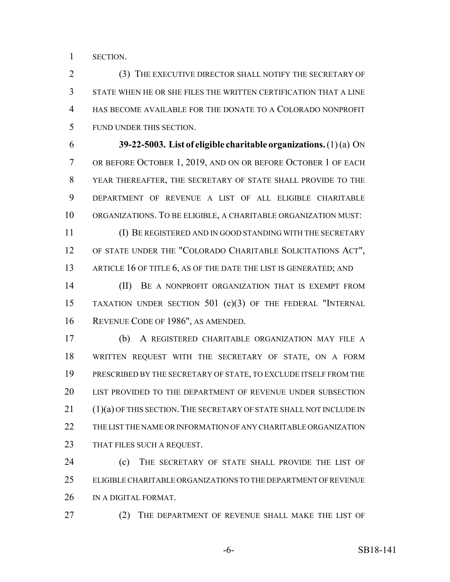SECTION.

 (3) THE EXECUTIVE DIRECTOR SHALL NOTIFY THE SECRETARY OF STATE WHEN HE OR SHE FILES THE WRITTEN CERTIFICATION THAT A LINE HAS BECOME AVAILABLE FOR THE DONATE TO A COLORADO NONPROFIT FUND UNDER THIS SECTION.

 **39-22-5003. List of eligible charitable organizations.** (1) (a) ON OR BEFORE OCTOBER 1, 2019, AND ON OR BEFORE OCTOBER 1 OF EACH YEAR THEREAFTER, THE SECRETARY OF STATE SHALL PROVIDE TO THE DEPARTMENT OF REVENUE A LIST OF ALL ELIGIBLE CHARITABLE ORGANIZATIONS. TO BE ELIGIBLE, A CHARITABLE ORGANIZATION MUST:

 (I) BE REGISTERED AND IN GOOD STANDING WITH THE SECRETARY OF STATE UNDER THE "COLORADO CHARITABLE SOLICITATIONS ACT", 13 ARTICLE 16 OF TITLE 6, AS OF THE DATE THE LIST IS GENERATED; AND

**III)** BE A NONPROFIT ORGANIZATION THAT IS EXEMPT FROM TAXATION UNDER SECTION 501 (c)(3) OF THE FEDERAL "INTERNAL REVENUE CODE OF 1986", AS AMENDED.

 (b) A REGISTERED CHARITABLE ORGANIZATION MAY FILE A WRITTEN REQUEST WITH THE SECRETARY OF STATE, ON A FORM PRESCRIBED BY THE SECRETARY OF STATE, TO EXCLUDE ITSELF FROM THE LIST PROVIDED TO THE DEPARTMENT OF REVENUE UNDER SUBSECTION 21 (1)(a) OF THIS SECTION. THE SECRETARY OF STATE SHALL NOT INCLUDE IN THE LIST THE NAME OR INFORMATION OF ANY CHARITABLE ORGANIZATION THAT FILES SUCH A REQUEST.

**(c)** THE SECRETARY OF STATE SHALL PROVIDE THE LIST OF ELIGIBLE CHARITABLE ORGANIZATIONS TO THE DEPARTMENT OF REVENUE IN A DIGITAL FORMAT.

27 (2) THE DEPARTMENT OF REVENUE SHALL MAKE THE LIST OF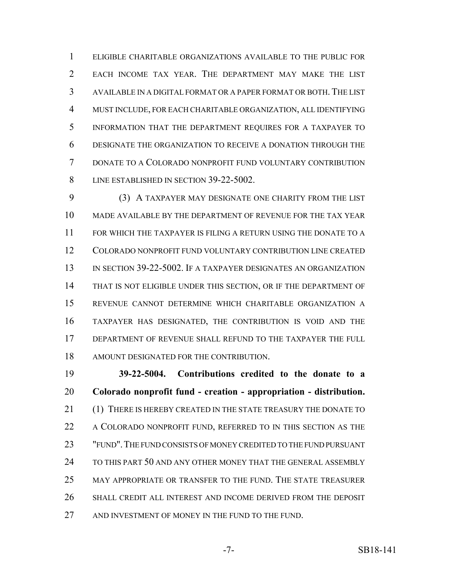ELIGIBLE CHARITABLE ORGANIZATIONS AVAILABLE TO THE PUBLIC FOR EACH INCOME TAX YEAR. THE DEPARTMENT MAY MAKE THE LIST AVAILABLE IN A DIGITAL FORMAT OR A PAPER FORMAT OR BOTH. THE LIST MUST INCLUDE, FOR EACH CHARITABLE ORGANIZATION, ALL IDENTIFYING INFORMATION THAT THE DEPARTMENT REQUIRES FOR A TAXPAYER TO DESIGNATE THE ORGANIZATION TO RECEIVE A DONATION THROUGH THE DONATE TO A COLORADO NONPROFIT FUND VOLUNTARY CONTRIBUTION 8 LINE ESTABLISHED IN SECTION 39-22-5002.

 (3) A TAXPAYER MAY DESIGNATE ONE CHARITY FROM THE LIST MADE AVAILABLE BY THE DEPARTMENT OF REVENUE FOR THE TAX YEAR FOR WHICH THE TAXPAYER IS FILING A RETURN USING THE DONATE TO A COLORADO NONPROFIT FUND VOLUNTARY CONTRIBUTION LINE CREATED IN SECTION 39-22-5002. IF A TAXPAYER DESIGNATES AN ORGANIZATION THAT IS NOT ELIGIBLE UNDER THIS SECTION, OR IF THE DEPARTMENT OF REVENUE CANNOT DETERMINE WHICH CHARITABLE ORGANIZATION A TAXPAYER HAS DESIGNATED, THE CONTRIBUTION IS VOID AND THE DEPARTMENT OF REVENUE SHALL REFUND TO THE TAXPAYER THE FULL AMOUNT DESIGNATED FOR THE CONTRIBUTION.

 **39-22-5004. Contributions credited to the donate to a Colorado nonprofit fund - creation - appropriation - distribution.** (1) THERE IS HEREBY CREATED IN THE STATE TREASURY THE DONATE TO 22 A COLORADO NONPROFIT FUND, REFERRED TO IN THIS SECTION AS THE "FUND".THE FUND CONSISTS OF MONEY CREDITED TO THE FUND PURSUANT 24 TO THIS PART 50 AND ANY OTHER MONEY THAT THE GENERAL ASSEMBLY MAY APPROPRIATE OR TRANSFER TO THE FUND. THE STATE TREASURER SHALL CREDIT ALL INTEREST AND INCOME DERIVED FROM THE DEPOSIT AND INVESTMENT OF MONEY IN THE FUND TO THE FUND.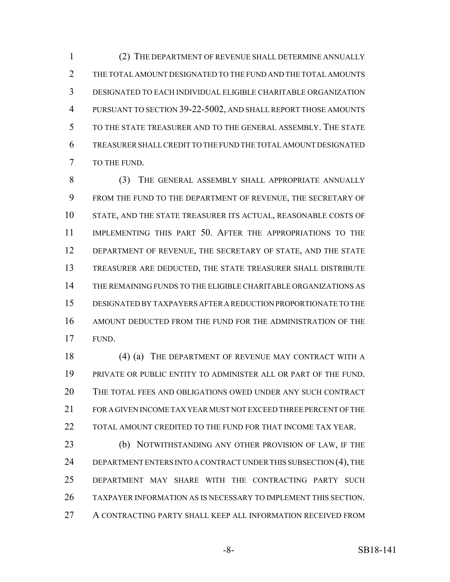(2) THE DEPARTMENT OF REVENUE SHALL DETERMINE ANNUALLY THE TOTAL AMOUNT DESIGNATED TO THE FUND AND THE TOTAL AMOUNTS DESIGNATED TO EACH INDIVIDUAL ELIGIBLE CHARITABLE ORGANIZATION PURSUANT TO SECTION 39-22-5002, AND SHALL REPORT THOSE AMOUNTS TO THE STATE TREASURER AND TO THE GENERAL ASSEMBLY. THE STATE TREASURER SHALL CREDIT TO THE FUND THE TOTAL AMOUNT DESIGNATED TO THE FUND.

8 (3) THE GENERAL ASSEMBLY SHALL APPROPRIATE ANNUALLY FROM THE FUND TO THE DEPARTMENT OF REVENUE, THE SECRETARY OF STATE, AND THE STATE TREASURER ITS ACTUAL, REASONABLE COSTS OF IMPLEMENTING THIS PART 50. AFTER THE APPROPRIATIONS TO THE 12 DEPARTMENT OF REVENUE, THE SECRETARY OF STATE, AND THE STATE TREASURER ARE DEDUCTED, THE STATE TREASURER SHALL DISTRIBUTE THE REMAINING FUNDS TO THE ELIGIBLE CHARITABLE ORGANIZATIONS AS DESIGNATED BY TAXPAYERS AFTER A REDUCTION PROPORTIONATE TO THE AMOUNT DEDUCTED FROM THE FUND FOR THE ADMINISTRATION OF THE FUND.

18 (4) (a) THE DEPARTMENT OF REVENUE MAY CONTRACT WITH A PRIVATE OR PUBLIC ENTITY TO ADMINISTER ALL OR PART OF THE FUND. THE TOTAL FEES AND OBLIGATIONS OWED UNDER ANY SUCH CONTRACT FOR A GIVEN INCOME TAX YEAR MUST NOT EXCEED THREE PERCENT OF THE 22 TOTAL AMOUNT CREDITED TO THE FUND FOR THAT INCOME TAX YEAR.

**(b) NOTWITHSTANDING ANY OTHER PROVISION OF LAW, IF THE** 24 DEPARTMENT ENTERS INTO A CONTRACT UNDER THIS SUBSECTION (4), THE DEPARTMENT MAY SHARE WITH THE CONTRACTING PARTY SUCH TAXPAYER INFORMATION AS IS NECESSARY TO IMPLEMENT THIS SECTION. A CONTRACTING PARTY SHALL KEEP ALL INFORMATION RECEIVED FROM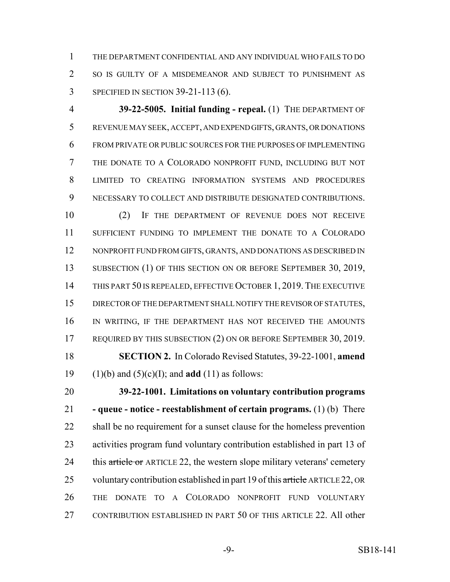THE DEPARTMENT CONFIDENTIAL AND ANY INDIVIDUAL WHO FAILS TO DO 2 SO IS GUILTY OF A MISDEMEANOR AND SUBJECT TO PUNISHMENT AS SPECIFIED IN SECTION 39-21-113 (6).

 **39-22-5005. Initial funding - repeal.** (1) THE DEPARTMENT OF REVENUE MAY SEEK, ACCEPT, AND EXPEND GIFTS, GRANTS, OR DONATIONS FROM PRIVATE OR PUBLIC SOURCES FOR THE PURPOSES OF IMPLEMENTING THE DONATE TO A COLORADO NONPROFIT FUND, INCLUDING BUT NOT LIMITED TO CREATING INFORMATION SYSTEMS AND PROCEDURES NECESSARY TO COLLECT AND DISTRIBUTE DESIGNATED CONTRIBUTIONS.

 (2) IF THE DEPARTMENT OF REVENUE DOES NOT RECEIVE SUFFICIENT FUNDING TO IMPLEMENT THE DONATE TO A COLORADO NONPROFIT FUND FROM GIFTS, GRANTS, AND DONATIONS AS DESCRIBED IN 13 SUBSECTION (1) OF THIS SECTION ON OR BEFORE SEPTEMBER 30, 2019, 14 THIS PART 50 IS REPEALED, EFFECTIVE OCTOBER 1, 2019. THE EXECUTIVE DIRECTOR OF THE DEPARTMENT SHALL NOTIFY THE REVISOR OF STATUTES, IN WRITING, IF THE DEPARTMENT HAS NOT RECEIVED THE AMOUNTS 17 REQUIRED BY THIS SUBSECTION (2) ON OR BEFORE SEPTEMBER 30, 2019. **SECTION 2.** In Colorado Revised Statutes, 39-22-1001, **amend** (1)(b) and (5)(c)(I); and **add** (11) as follows:

 **39-22-1001. Limitations on voluntary contribution programs - queue - notice - reestablishment of certain programs.** (1) (b) There shall be no requirement for a sunset clause for the homeless prevention activities program fund voluntary contribution established in part 13 of 24 this article or ARTICLE 22, the western slope military veterans' cemetery 25 voluntary contribution established in part 19 of this article ARTICLE 22, OR THE DONATE TO A COLORADO NONPROFIT FUND VOLUNTARY CONTRIBUTION ESTABLISHED IN PART 50 OF THIS ARTICLE 22. All other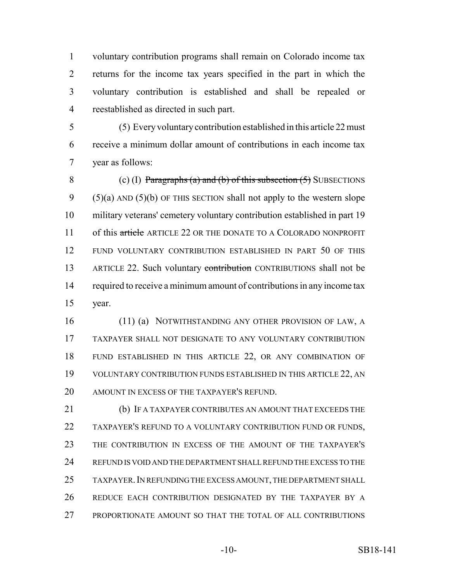voluntary contribution programs shall remain on Colorado income tax returns for the income tax years specified in the part in which the voluntary contribution is established and shall be repealed or reestablished as directed in such part.

 (5) Every voluntary contribution established in this article 22 must receive a minimum dollar amount of contributions in each income tax year as follows:

8 (c) (I) Paragraphs (a) and (b) of this subsection  $(5)$  SUBSECTIONS 9  $(5)(a)$  AND  $(5)(b)$  OF THIS SECTION shall not apply to the western slope military veterans' cemetery voluntary contribution established in part 19 11 of this article ARTICLE 22 OR THE DONATE TO A COLORADO NONPROFIT FUND VOLUNTARY CONTRIBUTION ESTABLISHED IN PART 50 OF THIS 13 ARTICLE 22. Such voluntary contribution CONTRIBUTIONS shall not be 14 required to receive a minimum amount of contributions in any income tax year.

16 (11) (a) NOTWITHSTANDING ANY OTHER PROVISION OF LAW, A TAXPAYER SHALL NOT DESIGNATE TO ANY VOLUNTARY CONTRIBUTION FUND ESTABLISHED IN THIS ARTICLE 22, OR ANY COMBINATION OF VOLUNTARY CONTRIBUTION FUNDS ESTABLISHED IN THIS ARTICLE 22, AN AMOUNT IN EXCESS OF THE TAXPAYER'S REFUND.

 (b) IF A TAXPAYER CONTRIBUTES AN AMOUNT THAT EXCEEDS THE TAXPAYER'S REFUND TO A VOLUNTARY CONTRIBUTION FUND OR FUNDS, THE CONTRIBUTION IN EXCESS OF THE AMOUNT OF THE TAXPAYER'S REFUND IS VOID AND THE DEPARTMENT SHALL REFUND THE EXCESS TO THE TAXPAYER.IN REFUNDING THE EXCESS AMOUNT, THE DEPARTMENT SHALL REDUCE EACH CONTRIBUTION DESIGNATED BY THE TAXPAYER BY A PROPORTIONATE AMOUNT SO THAT THE TOTAL OF ALL CONTRIBUTIONS